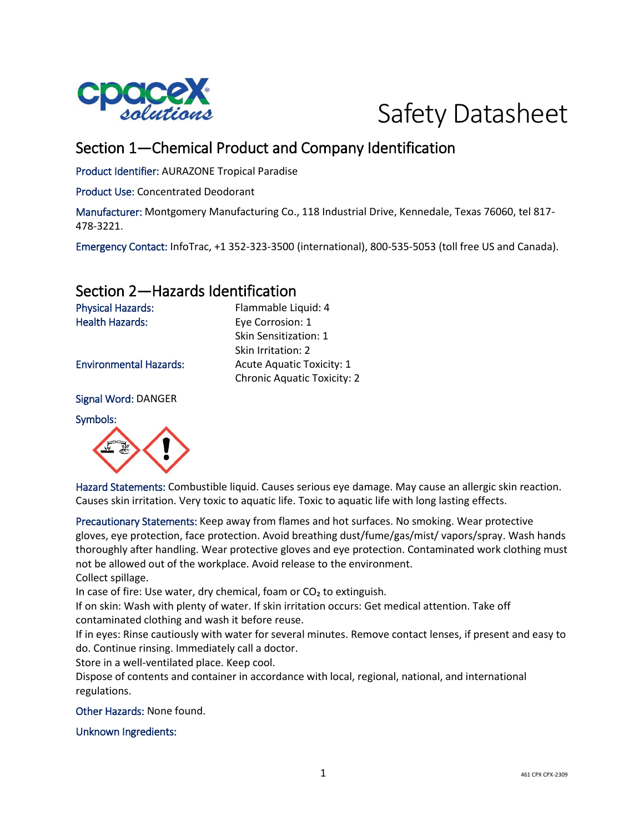



# Section 1—Chemical Product and Company Identification

Product Identifier: AURAZONE Tropical Paradise

Product Use: Concentrated Deodorant

Manufacturer: Montgomery Manufacturing Co., 118 Industrial Drive, Kennedale, Texas 76060, tel 817- 478-3221.

Emergency Contact: InfoTrac, +1 352-323-3500 (international), 800-535-5053 (toll free US and Canada).

### Section 2—Hazards Identification

Physical Hazards: Flammable Liquid: 4 Health Hazards: Eye Corrosion: 1

Environmental Hazards: Acute Aquatic Toxicity: 1

Signal Word: DANGER

Symbols:



Hazard Statements: Combustible liquid. Causes serious eye damage. May cause an allergic skin reaction. Causes skin irritation. Very toxic to aquatic life. Toxic to aquatic life with long lasting effects.

Precautionary Statements: Keep away from flames and hot surfaces. No smoking. Wear protective gloves, eye protection, face protection. Avoid breathing dust/fume/gas/mist/ vapors/spray. Wash hands thoroughly after handling. Wear protective gloves and eye protection. Contaminated work clothing must not be allowed out of the workplace. Avoid release to the environment.

Collect spillage.

In case of fire: Use water, dry chemical, foam or CO<sub>2</sub> to extinguish.

If on skin: Wash with plenty of water. If skin irritation occurs: Get medical attention. Take off contaminated clothing and wash it before reuse.

If in eyes: Rinse cautiously with water for several minutes. Remove contact lenses, if present and easy to do. Continue rinsing. Immediately call a doctor.

Store in a well-ventilated place. Keep cool.

Dispose of contents and container in accordance with local, regional, national, and international regulations.

Other Hazards: None found.

Unknown Ingredients:

Skin Irritation: 2 Chronic Aquatic Toxicity: 2

Skin Sensitization: 1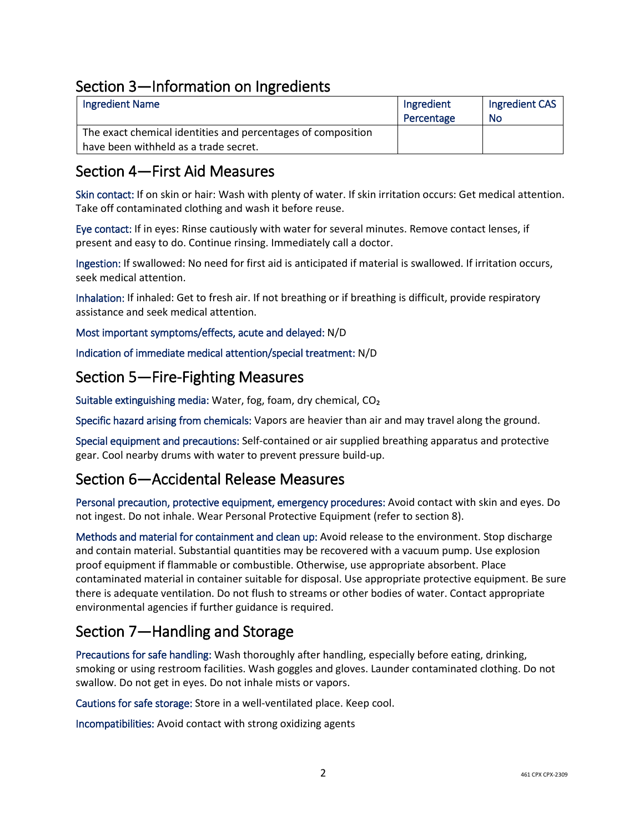# Section 3—Information on Ingredients

| <b>Ingredient Name</b>                                       | Ingredient | Ingredient CAS |
|--------------------------------------------------------------|------------|----------------|
|                                                              | Percentage | No             |
| The exact chemical identities and percentages of composition |            |                |
| have been withheld as a trade secret.                        |            |                |

### Section 4—First Aid Measures

Skin contact: If on skin or hair: Wash with plenty of water. If skin irritation occurs: Get medical attention. Take off contaminated clothing and wash it before reuse.

Eye contact: If in eyes: Rinse cautiously with water for several minutes. Remove contact lenses, if present and easy to do. Continue rinsing. Immediately call a doctor.

Ingestion: If swallowed: No need for first aid is anticipated if material is swallowed. If irritation occurs, seek medical attention.

Inhalation: If inhaled: Get to fresh air. If not breathing or if breathing is difficult, provide respiratory assistance and seek medical attention.

Most important symptoms/effects, acute and delayed: N/D

Indication of immediate medical attention/special treatment: N/D

#### Section 5—Fire-Fighting Measures

Suitable extinguishing media: Water, fog, foam, dry chemical, CO₂

Specific hazard arising from chemicals: Vapors are heavier than air and may travel along the ground.

Special equipment and precautions: Self-contained or air supplied breathing apparatus and protective gear. Cool nearby drums with water to prevent pressure build-up.

# Section 6—Accidental Release Measures

Personal precaution, protective equipment, emergency procedures: Avoid contact with skin and eyes. Do not ingest. Do not inhale. Wear Personal Protective Equipment (refer to section 8).

Methods and material for containment and clean up: Avoid release to the environment. Stop discharge and contain material. Substantial quantities may be recovered with a vacuum pump. Use explosion proof equipment if flammable or combustible. Otherwise, use appropriate absorbent. Place contaminated material in container suitable for disposal. Use appropriate protective equipment. Be sure there is adequate ventilation. Do not flush to streams or other bodies of water. Contact appropriate environmental agencies if further guidance is required.

# Section 7—Handling and Storage

Precautions for safe handling: Wash thoroughly after handling, especially before eating, drinking, smoking or using restroom facilities. Wash goggles and gloves. Launder contaminated clothing. Do not swallow. Do not get in eyes. Do not inhale mists or vapors.

Cautions for safe storage: Store in a well-ventilated place. Keep cool.

Incompatibilities: Avoid contact with strong oxidizing agents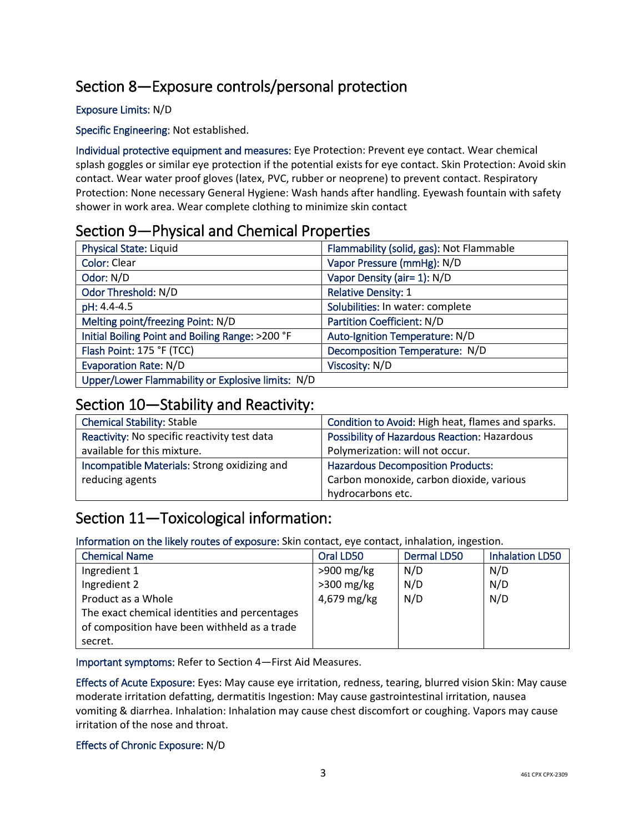# Section 8—Exposure controls/personal protection

#### Exposure Limits: N/D

Specific Engineering: Not established.

Individual protective equipment and measures: Eye Protection: Prevent eye contact. Wear chemical splash goggles or similar eye protection if the potential exists for eye contact. Skin Protection: Avoid skin contact. Wear water proof gloves (latex, PVC, rubber or neoprene) to prevent contact. Respiratory Protection: None necessary General Hygiene: Wash hands after handling. Eyewash fountain with safety shower in work area. Wear complete clothing to minimize skin contact

### Section 9—Physical and Chemical Properties

| <b>Physical State: Liquid</b>                     | Flammability (solid, gas): Not Flammable |
|---------------------------------------------------|------------------------------------------|
| <b>Color: Clear</b>                               | Vapor Pressure (mmHg): N/D               |
| Odor: N/D                                         | Vapor Density (air= 1): N/D              |
| Odor Threshold: N/D                               | <b>Relative Density: 1</b>               |
| pH: 4.4-4.5                                       | Solubilities: In water: complete         |
| Melting point/freezing Point: N/D                 | Partition Coefficient: N/D               |
| Initial Boiling Point and Boiling Range: >200 °F  | Auto-Ignition Temperature: N/D           |
| Flash Point: 175 °F (TCC)                         | Decomposition Temperature: N/D           |
| <b>Evaporation Rate: N/D</b>                      | Viscosity: N/D                           |
| Upper/Lower Flammability or Explosive limits: N/D |                                          |

### Section 10—Stability and Reactivity:

| <b>Chemical Stability: Stable</b>            | Condition to Avoid: High heat, flames and sparks. |
|----------------------------------------------|---------------------------------------------------|
| Reactivity: No specific reactivity test data | Possibility of Hazardous Reaction: Hazardous      |
| available for this mixture.                  | Polymerization: will not occur.                   |
| Incompatible Materials: Strong oxidizing and | <b>Hazardous Decomposition Products:</b>          |
| reducing agents                              | Carbon monoxide, carbon dioxide, various          |
|                                              | hydrocarbons etc.                                 |

# Section 11—Toxicological information:

Information on the likely routes of exposure: Skin contact, eye contact, inhalation, ingestion.

| <b>Chemical Name</b>                          | Oral LD50    | Dermal LD50 | <b>Inhalation LD50</b> |
|-----------------------------------------------|--------------|-------------|------------------------|
| Ingredient 1                                  | $>900$ mg/kg | N/D         | N/D                    |
| Ingredient 2                                  | $>300$ mg/kg | N/D         | N/D                    |
| Product as a Whole                            | 4,679 mg/kg  | N/D         | N/D                    |
| The exact chemical identities and percentages |              |             |                        |
| of composition have been withheld as a trade  |              |             |                        |
| secret.                                       |              |             |                        |

Important symptoms: Refer to Section 4—First Aid Measures.

Effects of Acute Exposure: Eyes: May cause eye irritation, redness, tearing, blurred vision Skin: May cause moderate irritation defatting, dermatitis Ingestion: May cause gastrointestinal irritation, nausea vomiting & diarrhea. Inhalation: Inhalation may cause chest discomfort or coughing. Vapors may cause irritation of the nose and throat.

#### Effects of Chronic Exposure: N/D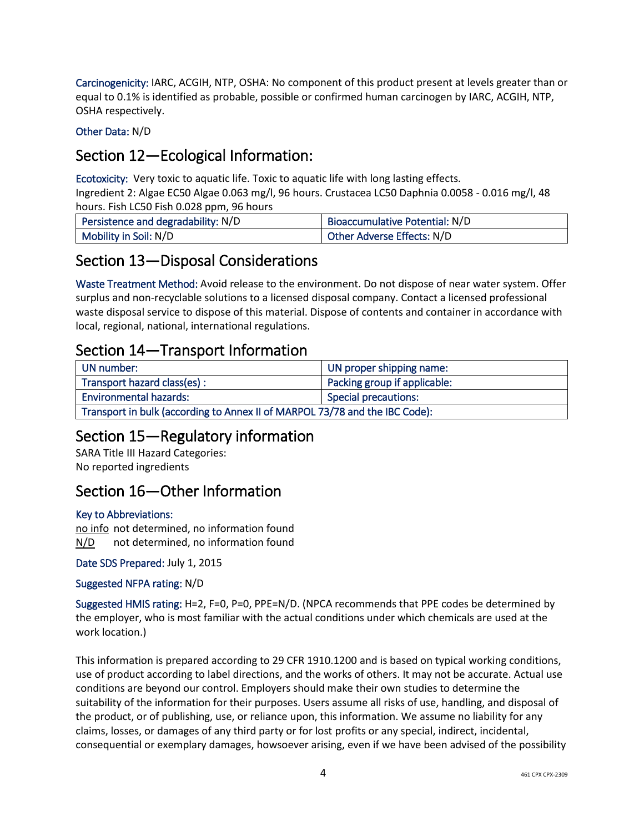Carcinogenicity: IARC, ACGIH, NTP, OSHA: No component of this product present at levels greater than or equal to 0.1% is identified as probable, possible or confirmed human carcinogen by IARC, ACGIH, NTP, OSHA respectively.

Other Data: N/D

# Section 12—Ecological Information:

Ecotoxicity: Very toxic to aquatic life. Toxic to aquatic life with long lasting effects.

Ingredient 2: Algae EC50 Algae 0.063 mg/l, 96 hours. Crustacea LC50 Daphnia 0.0058 - 0.016 mg/l, 48 hours. Fish LC50 Fish 0.028 ppm, 96 hours

| Persistence and degradability: N/D | <b>Bioaccumulative Potential: N/D</b> |
|------------------------------------|---------------------------------------|
| Mobility in Soil: N/D              | Other Adverse Effects: N/D            |

### Section 13—Disposal Considerations

Waste Treatment Method: Avoid release to the environment. Do not dispose of near water system. Offer surplus and non-recyclable solutions to a licensed disposal company. Contact a licensed professional waste disposal service to dispose of this material. Dispose of contents and container in accordance with local, regional, national, international regulations.

### Section 14—Transport Information

| UN number:                                                                  | UN proper shipping name:     |  |
|-----------------------------------------------------------------------------|------------------------------|--|
| Transport hazard class(es) :                                                | Packing group if applicable: |  |
| <b>Environmental hazards:</b>                                               | Special precautions:         |  |
| Transport in bulk (according to Annex II of MARPOL 73/78 and the IBC Code): |                              |  |

# Section 15—Regulatory information

SARA Title III Hazard Categories: No reported ingredients

# Section 16—Other Information

#### Key to Abbreviations:

no info not determined, no information found N/D not determined, no information found

Date SDS Prepared: July 1, 2015

#### Suggested NFPA rating: N/D

Suggested HMIS rating: H=2, F=0, P=0, PPE=N/D. (NPCA recommends that PPE codes be determined by the employer, who is most familiar with the actual conditions under which chemicals are used at the work location.)

This information is prepared according to 29 CFR 1910.1200 and is based on typical working conditions, use of product according to label directions, and the works of others. It may not be accurate. Actual use conditions are beyond our control. Employers should make their own studies to determine the suitability of the information for their purposes. Users assume all risks of use, handling, and disposal of the product, or of publishing, use, or reliance upon, this information. We assume no liability for any claims, losses, or damages of any third party or for lost profits or any special, indirect, incidental, consequential or exemplary damages, howsoever arising, even if we have been advised of the possibility